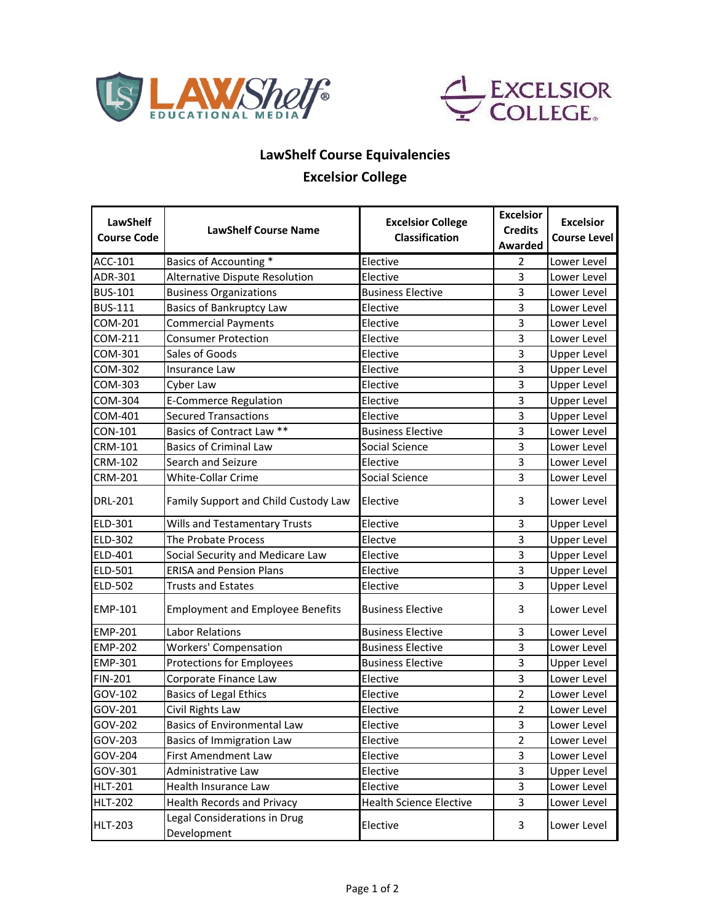



## **LawShelf Course Equivalencies Excelsior College**

| <b>LawShelf</b><br><b>Course Code</b> | <b>LawShelf Course Name</b>                 | <b>Excelsior College</b><br><b>Classification</b> | <b>Excelsior</b><br><b>Credits</b> | <b>Excelsior</b><br><b>Course Level</b> |
|---------------------------------------|---------------------------------------------|---------------------------------------------------|------------------------------------|-----------------------------------------|
| ACC-101                               | Basics of Accounting *                      | Elective                                          | <b>Awarded</b><br>$\overline{2}$   | Lower Level                             |
| ADR-301                               | Alternative Dispute Resolution              | Elective                                          | 3                                  | Lower Level                             |
| <b>BUS-101</b>                        | <b>Business Organizations</b>               | <b>Business Elective</b>                          | 3                                  | Lower Level                             |
| <b>BUS-111</b>                        | Basics of Bankruptcy Law                    | Elective                                          | 3                                  | Lower Level                             |
| COM-201                               | <b>Commercial Payments</b>                  | Elective                                          | 3                                  | Lower Level                             |
| COM-211                               | <b>Consumer Protection</b>                  | Elective                                          | 3                                  | Lower Level                             |
| COM-301                               | Sales of Goods                              | Elective                                          | 3                                  | <b>Upper Level</b>                      |
| COM-302                               | Insurance Law                               | Elective                                          | 3                                  | <b>Upper Level</b>                      |
| COM-303                               | Cyber Law                                   | Elective                                          | 3                                  | <b>Upper Level</b>                      |
| COM-304                               | <b>E-Commerce Regulation</b>                | Elective                                          | 3                                  | <b>Upper Level</b>                      |
| COM-401                               | <b>Secured Transactions</b>                 | Elective                                          | 3                                  | <b>Upper Level</b>                      |
| CON-101                               | Basics of Contract Law **                   | <b>Business Elective</b>                          | 3                                  | Lower Level                             |
| <b>CRM-101</b>                        | <b>Basics of Criminal Law</b>               | Social Science                                    | 3                                  | Lower Level                             |
| <b>CRM-102</b>                        | Search and Seizure                          | Elective                                          | 3                                  | Lower Level                             |
| <b>CRM-201</b>                        | White-Collar Crime                          | Social Science                                    | 3                                  | Lower Level                             |
| <b>DRL-201</b>                        | Family Support and Child Custody Law        | Elective                                          | 3                                  | Lower Level                             |
| ELD-301                               | Wills and Testamentary Trusts               | Elective                                          | 3                                  | <b>Upper Level</b>                      |
| ELD-302                               | The Probate Process                         | Electve                                           | 3                                  | <b>Upper Level</b>                      |
| ELD-401                               | Social Security and Medicare Law            | Elective                                          | 3                                  | <b>Upper Level</b>                      |
| ELD-501                               | <b>ERISA and Pension Plans</b>              | Elective                                          | 3                                  | <b>Upper Level</b>                      |
| ELD-502                               | <b>Trusts and Estates</b>                   | Elective                                          | 3                                  | <b>Upper Level</b>                      |
| EMP-101                               | <b>Employment and Employee Benefits</b>     | <b>Business Elective</b>                          | 3                                  | Lower Level                             |
| <b>EMP-201</b>                        | <b>Labor Relations</b>                      | <b>Business Elective</b>                          | 3                                  | Lower Level                             |
| <b>EMP-202</b>                        | <b>Workers' Compensation</b>                | <b>Business Elective</b>                          | 3                                  | Lower Level                             |
| EMP-301                               | <b>Protections for Employees</b>            | <b>Business Elective</b>                          | 3                                  | <b>Upper Level</b>                      |
| FIN-201                               | Corporate Finance Law                       | Elective                                          | 3                                  | Lower Level                             |
| GOV-102                               | <b>Basics of Legal Ethics</b>               | Elective                                          | $\overline{2}$                     | Lower Level                             |
| GOV-201                               | Civil Rights Law                            | Elective                                          | 2                                  | Lower Level                             |
| GOV-202                               | <b>Basics of Environmental Law</b>          | Elective                                          | 3                                  | Lower Level                             |
| GOV-203                               | <b>Basics of Immigration Law</b>            | Elective                                          | 2                                  | Lower Level                             |
| GOV-204                               | First Amendment Law                         | Elective                                          | 3                                  | Lower Level                             |
| GOV-301                               | Administrative Law                          | Elective                                          | 3                                  | <b>Upper Level</b>                      |
| <b>HLT-201</b>                        | Health Insurance Law                        | Elective                                          | 3                                  | Lower Level                             |
| <b>HLT-202</b>                        | <b>Health Records and Privacy</b>           | <b>Health Science Elective</b>                    | 3                                  | Lower Level                             |
| <b>HLT-203</b>                        | Legal Considerations in Drug<br>Development | Elective                                          | 3                                  | Lower Level                             |